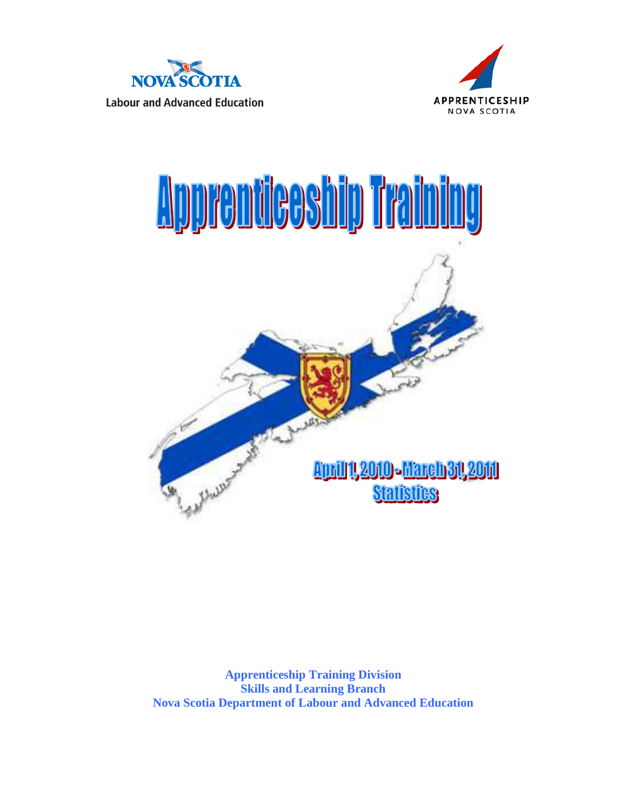





**Apprenticeship Training Division Skills and Learning Branch Nova Scotia Department of Labour and Advanced Education**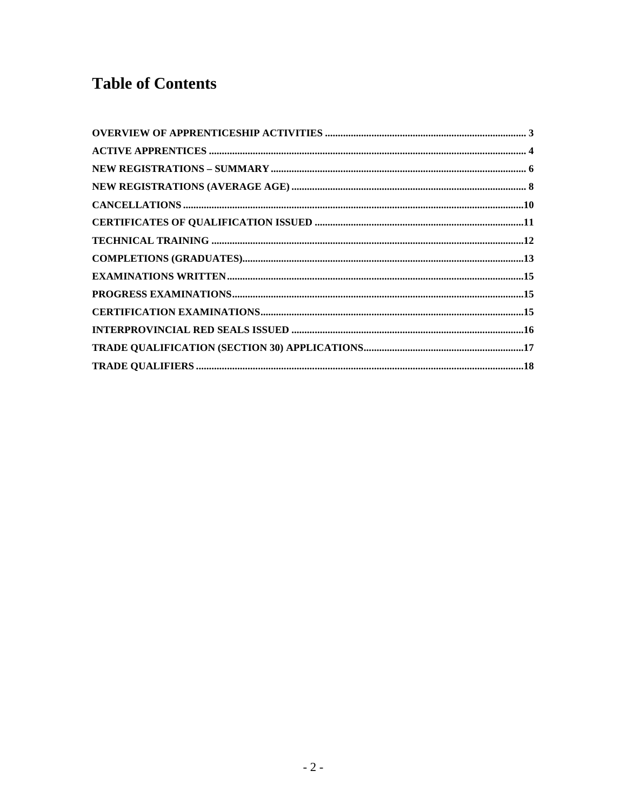## **Table of Contents**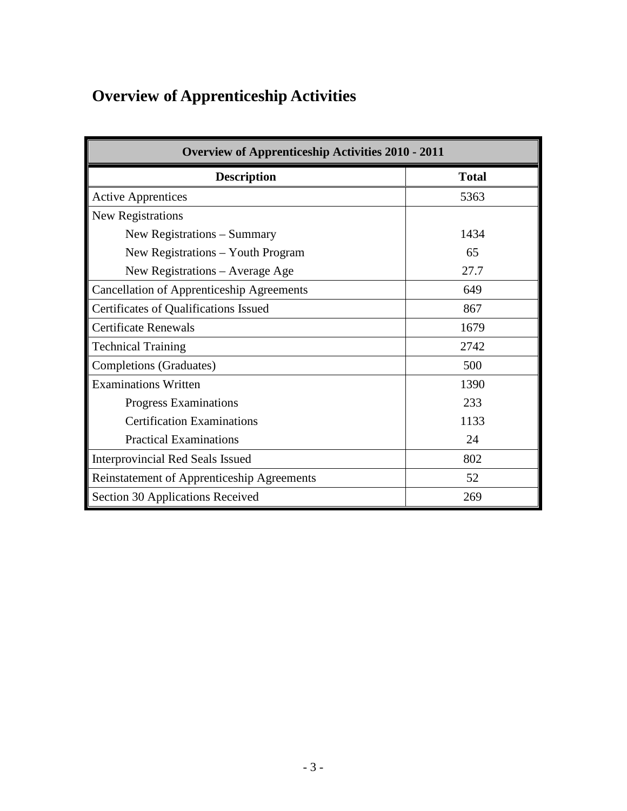# <span id="page-2-0"></span>**Overview of Apprenticeship Activities**

| <b>Overview of Apprenticeship Activities 2010 - 2011</b> |              |  |  |  |  |  |
|----------------------------------------------------------|--------------|--|--|--|--|--|
| <b>Description</b>                                       | <b>Total</b> |  |  |  |  |  |
| <b>Active Apprentices</b>                                | 5363         |  |  |  |  |  |
| New Registrations                                        |              |  |  |  |  |  |
| New Registrations – Summary                              | 1434         |  |  |  |  |  |
| New Registrations – Youth Program                        | 65           |  |  |  |  |  |
| New Registrations – Average Age                          | 27.7         |  |  |  |  |  |
| <b>Cancellation of Apprenticeship Agreements</b>         | 649          |  |  |  |  |  |
| Certificates of Qualifications Issued                    | 867          |  |  |  |  |  |
| <b>Certificate Renewals</b>                              | 1679         |  |  |  |  |  |
| <b>Technical Training</b>                                | 2742         |  |  |  |  |  |
| Completions (Graduates)                                  | 500          |  |  |  |  |  |
| <b>Examinations Written</b>                              | 1390         |  |  |  |  |  |
| <b>Progress Examinations</b>                             | 233          |  |  |  |  |  |
| <b>Certification Examinations</b>                        | 1133         |  |  |  |  |  |
| <b>Practical Examinations</b>                            | 24           |  |  |  |  |  |
| Interprovincial Red Seals Issued                         | 802          |  |  |  |  |  |
| Reinstatement of Apprenticeship Agreements               | 52           |  |  |  |  |  |
| Section 30 Applications Received                         | 269          |  |  |  |  |  |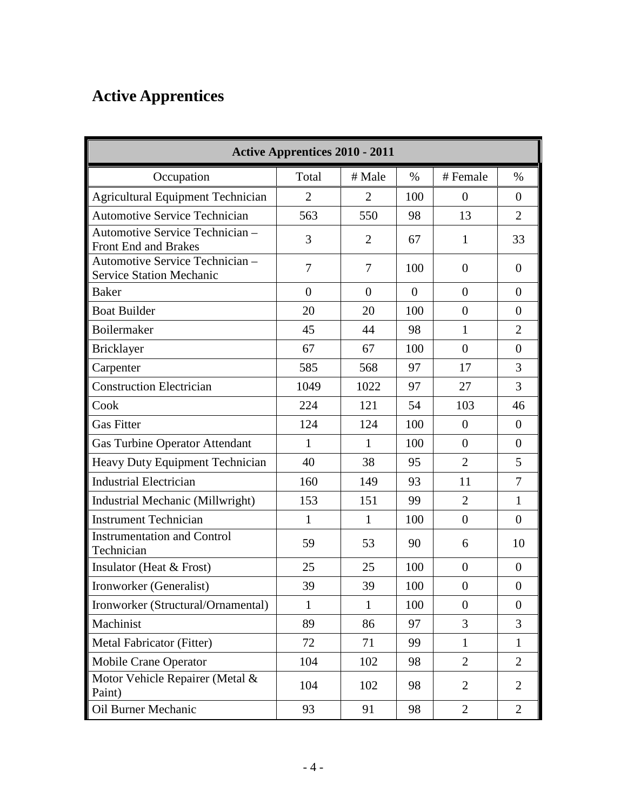# <span id="page-3-0"></span>**Active Apprentices**

| <b>Active Apprentices 2010 - 2011</b>                              |                  |                |                |                  |                |  |  |
|--------------------------------------------------------------------|------------------|----------------|----------------|------------------|----------------|--|--|
| Occupation                                                         | Total            | # Male         | $\%$           | # Female         | $\%$           |  |  |
| <b>Agricultural Equipment Technician</b>                           | $\overline{2}$   | $\overline{2}$ | 100            | $\boldsymbol{0}$ | $\overline{0}$ |  |  |
| <b>Automotive Service Technician</b>                               | 563              | 550            | 98             | 13               | $\overline{2}$ |  |  |
| Automotive Service Technician -<br>Front End and Brakes            | 3                | $\overline{2}$ | 67             | $\mathbf{1}$     | 33             |  |  |
| Automotive Service Technician -<br><b>Service Station Mechanic</b> | 7                | 7              | 100            | $\overline{0}$   | $\theta$       |  |  |
| <b>Baker</b>                                                       | $\boldsymbol{0}$ | $\overline{0}$ | $\overline{0}$ | $\overline{0}$   | $\theta$       |  |  |
| <b>Boat Builder</b>                                                | 20               | 20             | 100            | $\overline{0}$   | $\overline{0}$ |  |  |
| Boilermaker                                                        | 45               | 44             | 98             | $\mathbf{1}$     | $\overline{2}$ |  |  |
| <b>Bricklayer</b>                                                  | 67               | 67             | 100            | $\overline{0}$   | $\overline{0}$ |  |  |
| Carpenter                                                          | 585              | 568            | 97             | 17               | 3              |  |  |
| <b>Construction Electrician</b>                                    | 1049             | 1022           | 97             | 27               | 3              |  |  |
| Cook                                                               | 224              | 121            | 54             | 103              | 46             |  |  |
| <b>Gas Fitter</b>                                                  | 124              | 124            | 100            | $\boldsymbol{0}$ | $\overline{0}$ |  |  |
| <b>Gas Turbine Operator Attendant</b>                              | $\mathbf{1}$     | 1              | 100            | $\overline{0}$   | $\overline{0}$ |  |  |
| Heavy Duty Equipment Technician                                    | 40               | 38             | 95             | $\overline{2}$   | 5              |  |  |
| <b>Industrial Electrician</b>                                      | 160              | 149            | 93             | 11               | $\overline{7}$ |  |  |
| Industrial Mechanic (Millwright)                                   | 153              | 151            | 99             | $\overline{2}$   | $\mathbf{1}$   |  |  |
| <b>Instrument Technician</b>                                       | $\mathbf{1}$     | $\mathbf{1}$   | 100            | $\boldsymbol{0}$ | $\Omega$       |  |  |
| <b>Instrumentation and Control</b><br>Technician                   | 59               | 53             | 90             | 6                | 10             |  |  |
| Insulator (Heat $&$ Frost)                                         | 25               | 25             | 100            | $\overline{0}$   | $\Omega$       |  |  |
| Ironworker (Generalist)                                            | 39               | 39             | 100            | $\overline{0}$   | $\overline{0}$ |  |  |
| Ironworker (Structural/Ornamental)                                 | $\mathbf{1}$     | $\mathbf{1}$   | 100            | $\boldsymbol{0}$ | $\overline{0}$ |  |  |
| Machinist                                                          | 89               | 86             | 97             | $\overline{3}$   | $\overline{3}$ |  |  |
| Metal Fabricator (Fitter)                                          | 72               | 71             | 99             | $\mathbf{1}$     | $\mathbf{1}$   |  |  |
| Mobile Crane Operator                                              | 104              | 102            | 98             | $\overline{2}$   | $\overline{2}$ |  |  |
| Motor Vehicle Repairer (Metal &<br>Paint)                          | 104              | 102            | 98             | $\overline{2}$   | 2              |  |  |
| Oil Burner Mechanic                                                | 93               | 91             | 98             | $\overline{2}$   | $\overline{2}$ |  |  |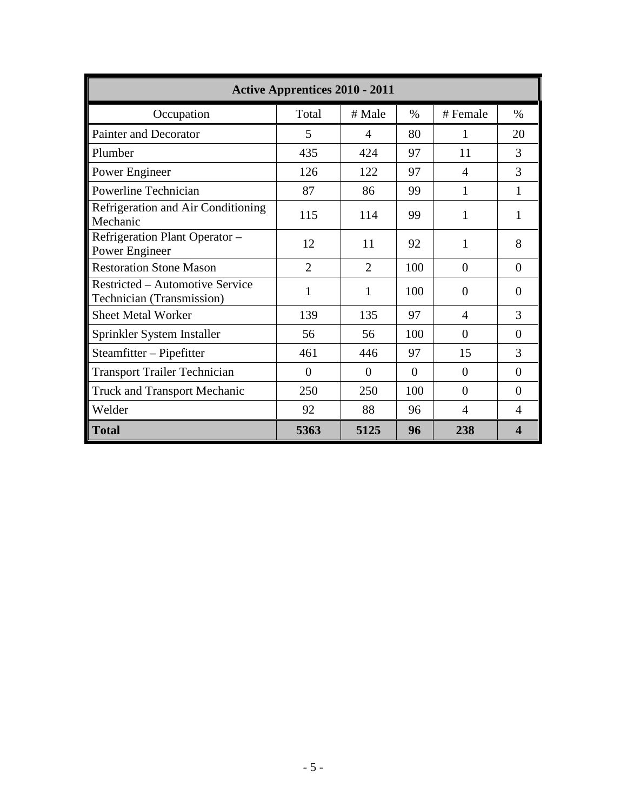| <b>Active Apprentices 2010 - 2011</b>                                      |                |                |          |                |                  |  |  |  |
|----------------------------------------------------------------------------|----------------|----------------|----------|----------------|------------------|--|--|--|
| Occupation                                                                 | Total          | # Male         | $\%$     | # Female       | $\%$             |  |  |  |
| <b>Painter and Decorator</b>                                               | 5              | 4              | 80       | 1              | 20               |  |  |  |
| Plumber                                                                    | 435            | 424            | 97       | 11             | 3                |  |  |  |
| Power Engineer                                                             | 126            | 122            | 97       | $\overline{4}$ | 3                |  |  |  |
| Powerline Technician                                                       | 87             | 86             | 99       | $\mathbf{1}$   | $\mathbf{1}$     |  |  |  |
| Refrigeration and Air Conditioning<br>Mechanic                             | 115            | 114            | 99       | 1              | 1                |  |  |  |
| Refrigeration Plant Operator -<br>Power Engineer                           | 12             | 11             | 92       | 1              | 8                |  |  |  |
| <b>Restoration Stone Mason</b>                                             | $\overline{2}$ | $\mathfrak{2}$ | 100      | $\overline{0}$ | $\Omega$         |  |  |  |
| <b>Restricted – Automotive Service</b><br><b>Technician (Transmission)</b> | 1              | $\mathbf{1}$   | 100      | $\theta$       | $\Omega$         |  |  |  |
| <b>Sheet Metal Worker</b>                                                  | 139            | 135            | 97       | $\overline{A}$ | 3                |  |  |  |
| Sprinkler System Installer                                                 | 56             | 56             | 100      | $\theta$       | $\Omega$         |  |  |  |
| Steamfitter – Pipefitter                                                   | 461            | 446            | 97       | 15             | 3                |  |  |  |
| <b>Transport Trailer Technician</b>                                        | $\Omega$       | $\Omega$       | $\theta$ | $\theta$       | $\Omega$         |  |  |  |
| <b>Truck and Transport Mechanic</b>                                        | 250            | 250            | 100      | $\theta$       | $\Omega$         |  |  |  |
| Welder                                                                     | 92             | 88             | 96       | $\overline{4}$ | $\overline{4}$   |  |  |  |
| <b>Total</b>                                                               | 5363           | 5125           | 96       | 238            | $\boldsymbol{4}$ |  |  |  |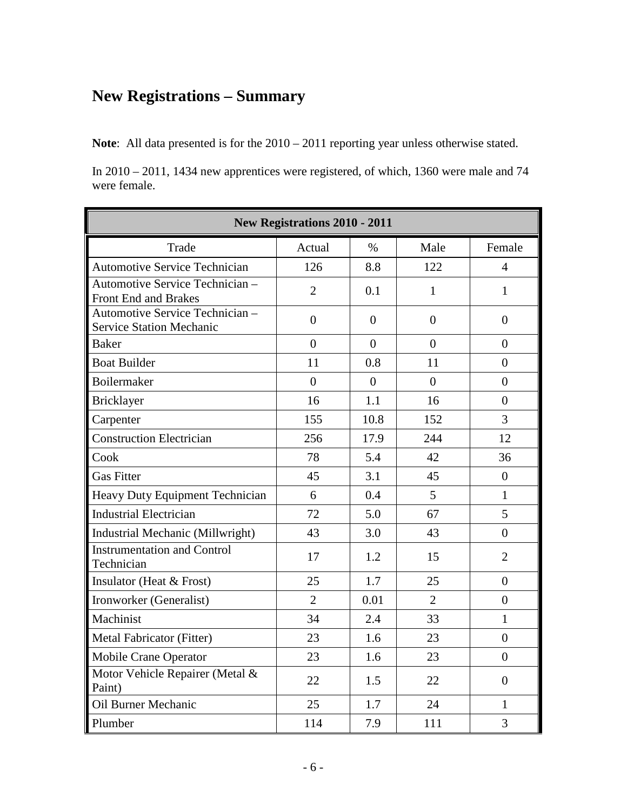### <span id="page-5-0"></span>**New Registrations – Summary**

**Note**: All data presented is for the 2010 – 2011 reporting year unless otherwise stated.

In 2010 – 2011, 1434 new apprentices were registered, of which, 1360 were male and 74 were female.

| <b>New Registrations 2010 - 2011</b>                               |                |                |                |                  |  |  |  |
|--------------------------------------------------------------------|----------------|----------------|----------------|------------------|--|--|--|
| Trade                                                              | Actual         | $\%$           | Male           | Female           |  |  |  |
| <b>Automotive Service Technician</b>                               | 126            | 8.8            | 122            | $\overline{4}$   |  |  |  |
| Automotive Service Technician -<br>Front End and Brakes            | $\overline{2}$ | 0.1            | $\mathbf{1}$   | $\mathbf{1}$     |  |  |  |
| Automotive Service Technician -<br><b>Service Station Mechanic</b> | $\overline{0}$ | $\overline{0}$ | $\overline{0}$ | $\Omega$         |  |  |  |
| <b>Baker</b>                                                       | $\overline{0}$ | $\overline{0}$ | $\overline{0}$ | $\overline{0}$   |  |  |  |
| <b>Boat Builder</b>                                                | 11             | 0.8            | 11             | $\overline{0}$   |  |  |  |
| Boilermaker                                                        | $\overline{0}$ | $\theta$       | $\Omega$       | $\theta$         |  |  |  |
| Bricklayer                                                         | 16             | 1.1            | 16             | $\overline{0}$   |  |  |  |
| Carpenter                                                          | 155            | 10.8           | 152            | 3                |  |  |  |
| <b>Construction Electrician</b>                                    | 256            | 17.9           | 244            | 12               |  |  |  |
| Cook                                                               | 78             | 5.4            | 42             | 36               |  |  |  |
| <b>Gas Fitter</b>                                                  | 45             | 3.1            | 45             | $\theta$         |  |  |  |
| Heavy Duty Equipment Technician                                    | 6              | 0.4            | 5              | $\mathbf{1}$     |  |  |  |
| <b>Industrial Electrician</b>                                      | 72             | 5.0            | 67             | 5                |  |  |  |
| Industrial Mechanic (Millwright)                                   | 43             | 3.0            | 43             | $\boldsymbol{0}$ |  |  |  |
| <b>Instrumentation and Control</b><br>Technician                   | 17             | 1.2            | 15             | $\overline{2}$   |  |  |  |
| Insulator (Heat & Frost)                                           | 25             | 1.7            | 25             | $\overline{0}$   |  |  |  |
| Ironworker (Generalist)                                            | $\overline{2}$ | 0.01           | $\overline{2}$ | $\overline{0}$   |  |  |  |
| Machinist                                                          | 34             | 2.4            | 33             | $\mathbf{1}$     |  |  |  |
| Metal Fabricator (Fitter)                                          | 23             | 1.6            | 23             | $\overline{0}$   |  |  |  |
| <b>Mobile Crane Operator</b>                                       | 23             | 1.6            | 23             | $\overline{0}$   |  |  |  |
| Motor Vehicle Repairer (Metal &<br>Paint)                          | 22             | 1.5            | 22             | $\overline{0}$   |  |  |  |
| Oil Burner Mechanic                                                | 25             | 1.7            | 24             | $\mathbf{1}$     |  |  |  |
| Plumber                                                            | 114            | 7.9            | 111            | 3                |  |  |  |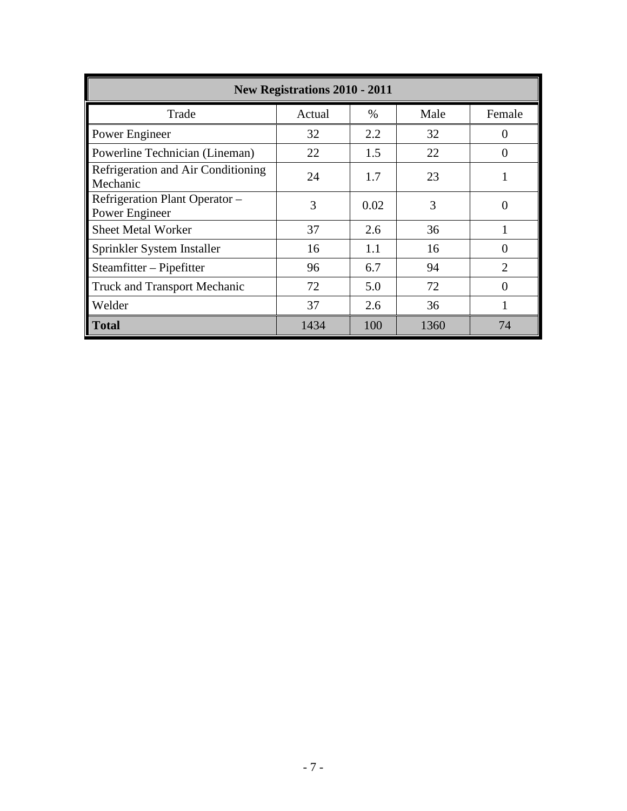| <b>New Registrations 2010 - 2011</b>             |        |      |      |                             |  |  |  |
|--------------------------------------------------|--------|------|------|-----------------------------|--|--|--|
| Trade                                            | Actual | $\%$ | Male | Female                      |  |  |  |
| Power Engineer                                   | 32     | 2.2  | 32   | 0                           |  |  |  |
| Powerline Technician (Lineman)                   | 22     | 1.5  | 22   | $\left($                    |  |  |  |
| Refrigeration and Air Conditioning<br>Mechanic   | 24     | 1.7  | 23   |                             |  |  |  |
| Refrigeration Plant Operator –<br>Power Engineer | 3      | 0.02 | 3    | 0                           |  |  |  |
| <b>Sheet Metal Worker</b>                        | 37     | 2.6  | 36   |                             |  |  |  |
| Sprinkler System Installer                       | 16     | 1.1  | 16   |                             |  |  |  |
| Steamfitter – Pipefitter                         | 96     | 6.7  | 94   | $\mathcal{D}_{\mathcal{L}}$ |  |  |  |
| <b>Truck and Transport Mechanic</b>              | 72     | 5.0  | 72   | ∩                           |  |  |  |
| Welder                                           | 37     | 2.6  | 36   |                             |  |  |  |
| <b>Total</b>                                     | 1434   | 100  | 1360 | 74                          |  |  |  |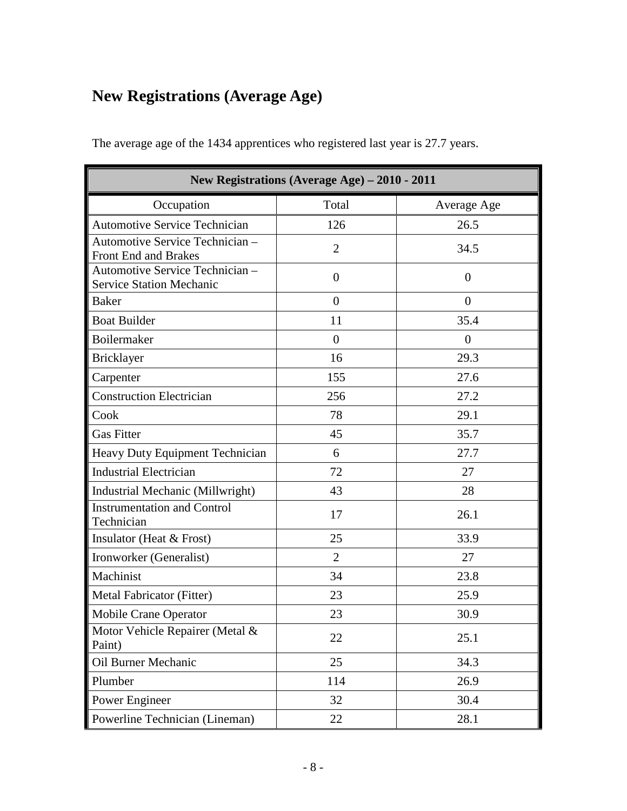# <span id="page-7-0"></span>**New Registrations (Average Age)**

| New Registrations (Average Age) - 2010 - 2011                      |                  |                |  |  |  |  |
|--------------------------------------------------------------------|------------------|----------------|--|--|--|--|
| Occupation                                                         | Total            | Average Age    |  |  |  |  |
| <b>Automotive Service Technician</b>                               | 126              | 26.5           |  |  |  |  |
| Automotive Service Technician -<br>Front End and Brakes            | $\overline{2}$   | 34.5           |  |  |  |  |
| Automotive Service Technician -<br><b>Service Station Mechanic</b> | $\boldsymbol{0}$ | $\theta$       |  |  |  |  |
| <b>Baker</b>                                                       | $\overline{0}$   | $\overline{0}$ |  |  |  |  |
| <b>Boat Builder</b>                                                | 11               | 35.4           |  |  |  |  |
| Boilermaker                                                        | $\overline{0}$   | $\overline{0}$ |  |  |  |  |
| <b>Bricklayer</b>                                                  | 16               | 29.3           |  |  |  |  |
| Carpenter                                                          | 155              | 27.6           |  |  |  |  |
| <b>Construction Electrician</b>                                    | 256              | 27.2           |  |  |  |  |
| Cook                                                               | 78               | 29.1           |  |  |  |  |
| <b>Gas Fitter</b>                                                  | 45               | 35.7           |  |  |  |  |
| Heavy Duty Equipment Technician                                    | 6                | 27.7           |  |  |  |  |
| <b>Industrial Electrician</b>                                      | 72               | 27             |  |  |  |  |
| Industrial Mechanic (Millwright)                                   | 43               | 28             |  |  |  |  |
| <b>Instrumentation and Control</b><br>Technician                   | 17               | 26.1           |  |  |  |  |
| Insulator (Heat $&$ Frost)                                         | 25               | 33.9           |  |  |  |  |
| Ironworker (Generalist)                                            | $\overline{2}$   | 27             |  |  |  |  |
| Machinist                                                          | 34               | 23.8           |  |  |  |  |
| Metal Fabricator (Fitter)                                          | 23               | 25.9           |  |  |  |  |
| Mobile Crane Operator                                              | 23               | 30.9           |  |  |  |  |
| Motor Vehicle Repairer (Metal &<br>Paint)                          | 22               | 25.1           |  |  |  |  |
| Oil Burner Mechanic                                                | 25               | 34.3           |  |  |  |  |
| Plumber                                                            | 114              | 26.9           |  |  |  |  |
| Power Engineer                                                     | 32               | 30.4           |  |  |  |  |
| Powerline Technician (Lineman)                                     | 22               | 28.1           |  |  |  |  |

The average age of the 1434 apprentices who registered last year is 27.7 years.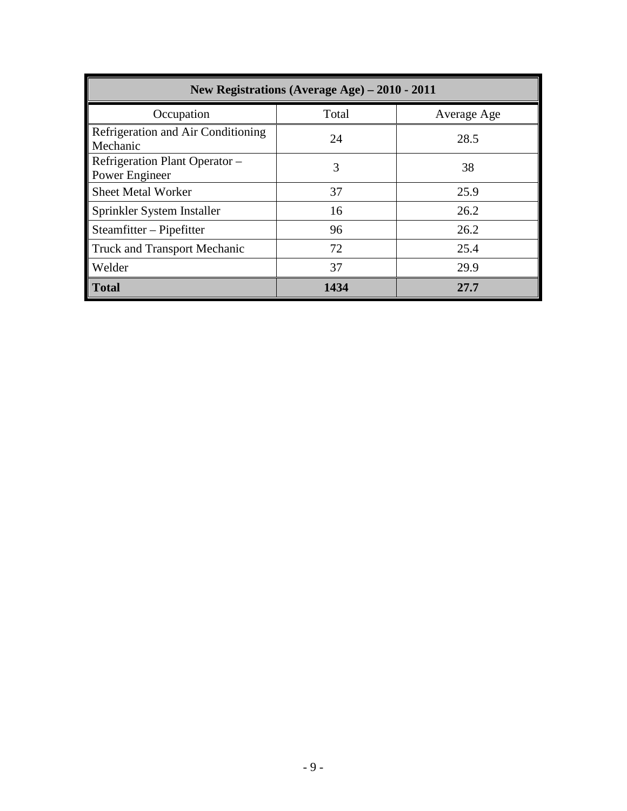| New Registrations (Average Age) – 2010 - 2011    |       |             |  |  |  |  |  |
|--------------------------------------------------|-------|-------------|--|--|--|--|--|
| Occupation                                       | Total | Average Age |  |  |  |  |  |
| Refrigeration and Air Conditioning<br>Mechanic   | 24    | 28.5        |  |  |  |  |  |
| Refrigeration Plant Operator –<br>Power Engineer | 3     | 38          |  |  |  |  |  |
| <b>Sheet Metal Worker</b>                        | 37    | 25.9        |  |  |  |  |  |
| Sprinkler System Installer                       | 16    | 26.2        |  |  |  |  |  |
| Steamfitter – Pipefitter                         | 96    | 26.2        |  |  |  |  |  |
| <b>Truck and Transport Mechanic</b>              | 72    | 25.4        |  |  |  |  |  |
| Welder                                           | 37    | 29.9        |  |  |  |  |  |
| <b>Total</b>                                     | 1434  | 27.7        |  |  |  |  |  |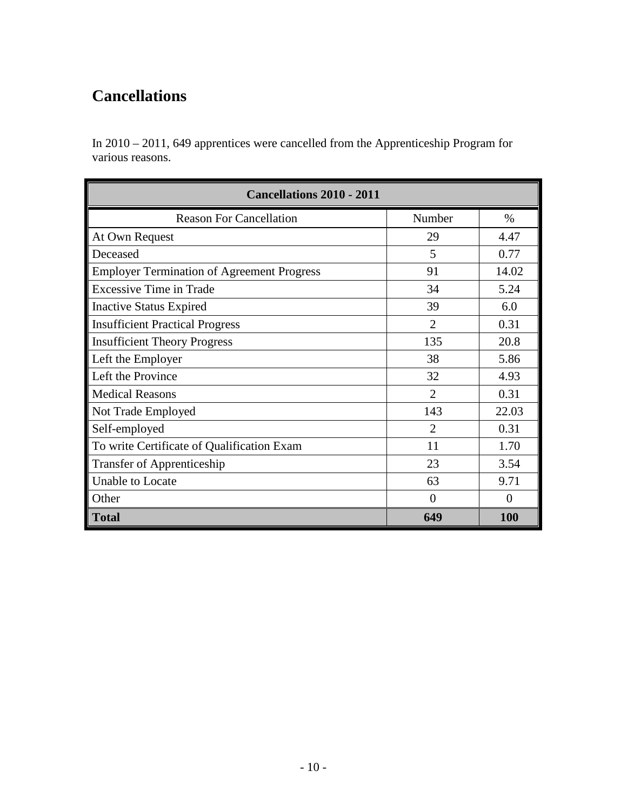## <span id="page-9-0"></span>**Cancellations**

In 2010 – 2011, 649 apprentices were cancelled from the Apprenticeship Program for various reasons.

| <b>Cancellations 2010 - 2011</b>                  |                             |            |  |  |  |  |  |
|---------------------------------------------------|-----------------------------|------------|--|--|--|--|--|
| <b>Reason For Cancellation</b>                    | Number                      | $\%$       |  |  |  |  |  |
| At Own Request                                    | 29                          | 4.47       |  |  |  |  |  |
| Deceased                                          | 5                           | 0.77       |  |  |  |  |  |
| <b>Employer Termination of Agreement Progress</b> | 91                          | 14.02      |  |  |  |  |  |
| <b>Excessive Time in Trade</b>                    | 34                          | 5.24       |  |  |  |  |  |
| <b>Inactive Status Expired</b>                    | 39                          | 6.0        |  |  |  |  |  |
| <b>Insufficient Practical Progress</b>            | $\overline{2}$              | 0.31       |  |  |  |  |  |
| <b>Insufficient Theory Progress</b>               | 135                         | 20.8       |  |  |  |  |  |
| Left the Employer                                 | 38                          | 5.86       |  |  |  |  |  |
| Left the Province                                 | 32                          | 4.93       |  |  |  |  |  |
| <b>Medical Reasons</b>                            | $\overline{2}$              | 0.31       |  |  |  |  |  |
| Not Trade Employed                                | 143                         | 22.03      |  |  |  |  |  |
| Self-employed                                     | $\mathcal{D}_{\mathcal{L}}$ | 0.31       |  |  |  |  |  |
| To write Certificate of Qualification Exam        | 11                          | 1.70       |  |  |  |  |  |
| Transfer of Apprenticeship                        | 23                          | 3.54       |  |  |  |  |  |
| <b>Unable to Locate</b>                           | 63                          | 9.71       |  |  |  |  |  |
| Other                                             | $\Omega$                    | $\Omega$   |  |  |  |  |  |
| <b>Total</b>                                      | 649                         | <b>100</b> |  |  |  |  |  |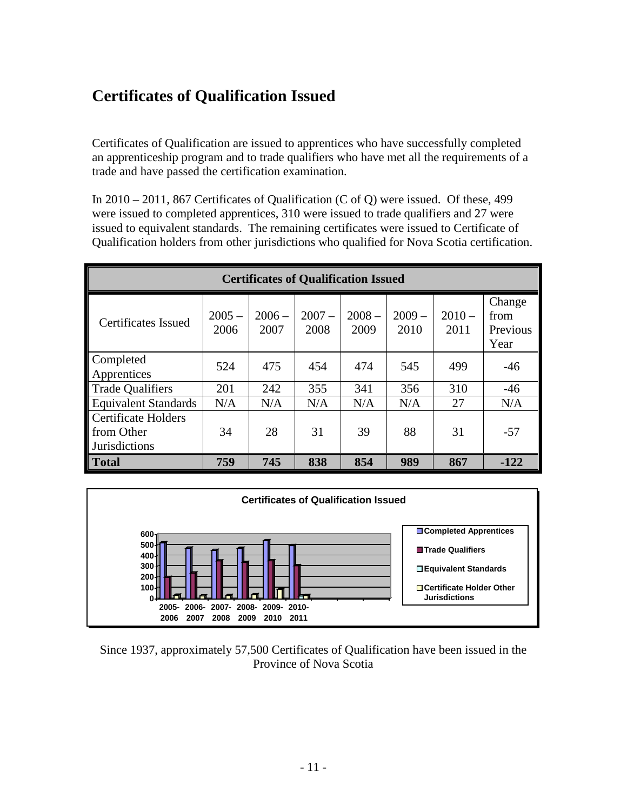## <span id="page-10-0"></span>**Certificates of Qualification Issued**

Certificates of Qualification are issued to apprentices who have successfully completed an apprenticeship program and to trade qualifiers who have met all the requirements of a trade and have passed the certification examination.

In 2010 – 2011, 867 Certificates of Qualification (C of Q) were issued. Of these, 499 were issued to completed apprentices, 310 were issued to trade qualifiers and 27 were issued to equivalent standards. The remaining certificates were issued to Certificate of Qualification holders from other jurisdictions who qualified for Nova Scotia certification.

| <b>Certificates of Qualification Issued</b>                      |                  |                  |                  |                  |                  |                  |                                    |
|------------------------------------------------------------------|------------------|------------------|------------------|------------------|------------------|------------------|------------------------------------|
| Certificates Issued                                              | $2005 -$<br>2006 | $2006 -$<br>2007 | $2007 -$<br>2008 | $2008 -$<br>2009 | $2009 -$<br>2010 | $2010 -$<br>2011 | Change<br>from<br>Previous<br>Year |
| Completed<br>Apprentices                                         | 524              | 475              | 454              | 474              | 545              | 499              | $-46$                              |
| <b>Trade Qualifiers</b>                                          | 201              | 242              | 355              | 341              | 356              | 310              | $-46$                              |
| <b>Equivalent Standards</b>                                      | N/A              | N/A              | N/A              | N/A              | N/A              | 27               | N/A                                |
| <b>Certificate Holders</b><br>from Other<br><b>Jurisdictions</b> | 34               | 28               | 31               | 39               | 88               | 31               | $-57$                              |
| <b>Total</b>                                                     | 759              | 745              | 838              | 854              | 989              | 867              | $-122$                             |



Since 1937, approximately 57,500 Certificates of Qualification have been issued in the Province of Nova Scotia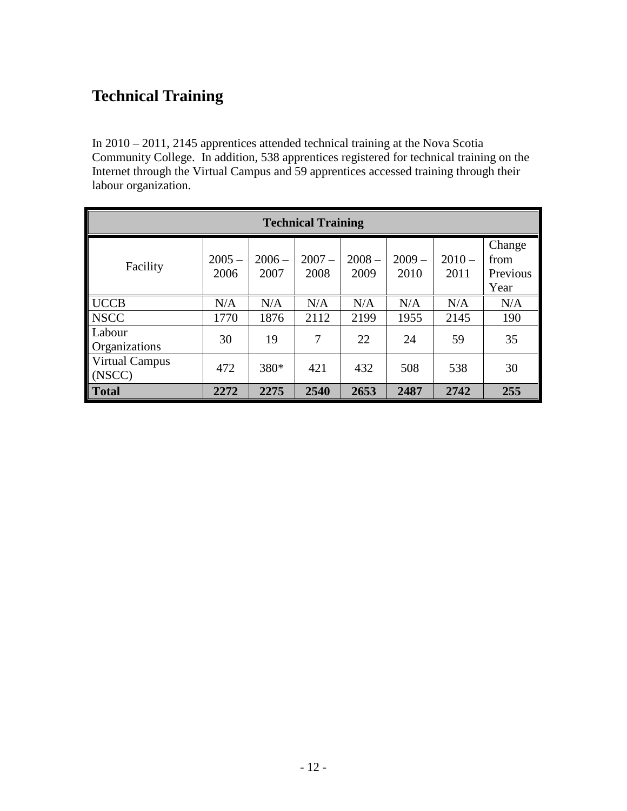## <span id="page-11-0"></span>**Technical Training**

In 2010 – 2011, 2145 apprentices attended technical training at the Nova Scotia Community College. In addition, 538 apprentices registered for technical training on the Internet through the Virtual Campus and 59 apprentices accessed training through their labour organization.

| <b>Technical Training</b>       |                  |                  |                  |                  |                  |                  |                                    |
|---------------------------------|------------------|------------------|------------------|------------------|------------------|------------------|------------------------------------|
| Facility                        | $2005 -$<br>2006 | $2006 -$<br>2007 | $2007 -$<br>2008 | $2008 -$<br>2009 | $2009 -$<br>2010 | $2010 -$<br>2011 | Change<br>from<br>Previous<br>Year |
| <b>UCCB</b>                     | N/A              | N/A              | N/A              | N/A              | N/A              | N/A              | N/A                                |
| <b>NSCC</b>                     | 1770             | 1876             | 2112             | 2199             | 1955             | 2145             | 190                                |
| Labour<br>Organizations         | 30               | 19               | 7                | 22               | 24               | 59               | 35                                 |
| <b>Virtual Campus</b><br>(NSCC) | 472              | 380*             | 421              | 432              | 508              | 538              | 30                                 |
| <b>Total</b>                    | 2272             | 2275             | 2540             | 2653             | 2487             | 2742             | 255                                |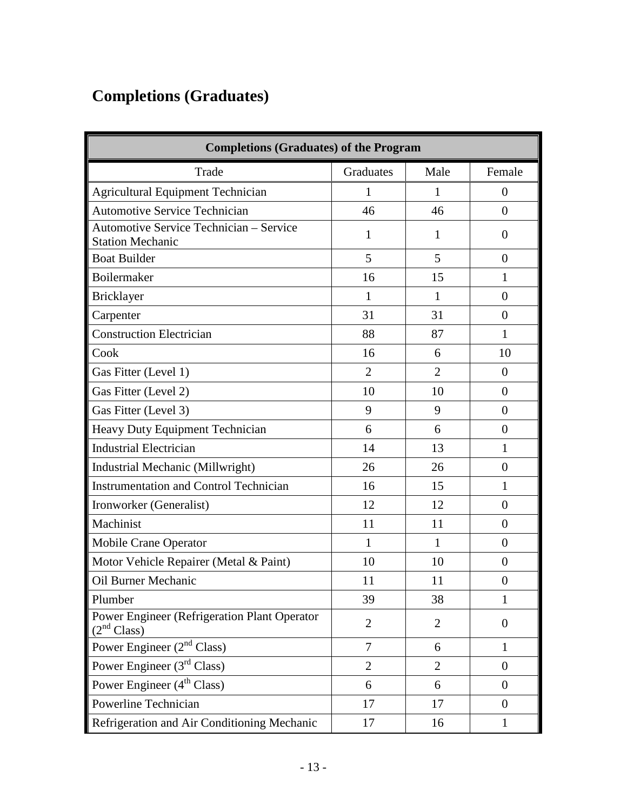# <span id="page-12-0"></span>**Completions (Graduates)**

|                                                                                | <b>Completions (Graduates) of the Program</b> |                |                |  |  |  |  |  |
|--------------------------------------------------------------------------------|-----------------------------------------------|----------------|----------------|--|--|--|--|--|
| Trade                                                                          | Graduates                                     | Male           | Female         |  |  |  |  |  |
| <b>Agricultural Equipment Technician</b>                                       | 1                                             | 1              | $\theta$       |  |  |  |  |  |
| <b>Automotive Service Technician</b>                                           | 46                                            | 46             | $\overline{0}$ |  |  |  |  |  |
| <b>Automotive Service Technician - Service</b><br><b>Station Mechanic</b>      | 1                                             | 1              | $\Omega$       |  |  |  |  |  |
| <b>Boat Builder</b>                                                            | 5                                             | 5              | $\overline{0}$ |  |  |  |  |  |
| Boilermaker                                                                    | 16                                            | 15             | $\mathbf{1}$   |  |  |  |  |  |
| Bricklayer                                                                     | $\mathbf{1}$                                  | 1              | $\overline{0}$ |  |  |  |  |  |
| Carpenter                                                                      | 31                                            | 31             | $\theta$       |  |  |  |  |  |
| <b>Construction Electrician</b>                                                | 88                                            | 87             | $\mathbf{1}$   |  |  |  |  |  |
| Cook                                                                           | 16                                            | 6              | 10             |  |  |  |  |  |
| Gas Fitter (Level 1)                                                           | $\overline{2}$                                | $\overline{2}$ | $\theta$       |  |  |  |  |  |
| Gas Fitter (Level 2)                                                           | 10                                            | 10             | $\Omega$       |  |  |  |  |  |
| Gas Fitter (Level 3)                                                           | 9                                             | 9              | $\overline{0}$ |  |  |  |  |  |
| Heavy Duty Equipment Technician                                                | 6                                             | 6              | $\overline{0}$ |  |  |  |  |  |
| <b>Industrial Electrician</b>                                                  | 14                                            | 13             | $\mathbf{1}$   |  |  |  |  |  |
| Industrial Mechanic (Millwright)                                               | 26                                            | 26             | $\overline{0}$ |  |  |  |  |  |
| <b>Instrumentation and Control Technician</b>                                  | 16                                            | 15             | 1              |  |  |  |  |  |
| Ironworker (Generalist)                                                        | 12                                            | 12             | $\overline{0}$ |  |  |  |  |  |
| Machinist                                                                      | 11                                            | 11             | $\theta$       |  |  |  |  |  |
| Mobile Crane Operator                                                          | $\mathbf{1}$                                  | $\mathbf{1}$   | $\theta$       |  |  |  |  |  |
| Motor Vehicle Repairer (Metal & Paint)                                         | 10                                            | 10             | $\overline{0}$ |  |  |  |  |  |
| Oil Burner Mechanic                                                            | 11                                            | 11             | $\overline{0}$ |  |  |  |  |  |
| Plumber                                                                        | 39                                            | 38             | $\mathbf{1}$   |  |  |  |  |  |
| <b>Power Engineer (Refrigeration Plant Operator</b><br>(2 <sup>nd</sup> Class) | $\overline{2}$                                | $\overline{2}$ | $\mathbf{0}$   |  |  |  |  |  |
| Power Engineer $(2nd Class)$                                                   | $\overline{7}$                                | 6              | $\mathbf{1}$   |  |  |  |  |  |
| Power Engineer $(3rd Class)$                                                   | $\overline{2}$                                | $\overline{2}$ | $\overline{0}$ |  |  |  |  |  |
| Power Engineer $(4th Class)$                                                   | 6                                             | 6              | $\overline{0}$ |  |  |  |  |  |
| Powerline Technician                                                           | 17                                            | 17             | $\overline{0}$ |  |  |  |  |  |
| Refrigeration and Air Conditioning Mechanic                                    | 17                                            | 16             | $\mathbf{1}$   |  |  |  |  |  |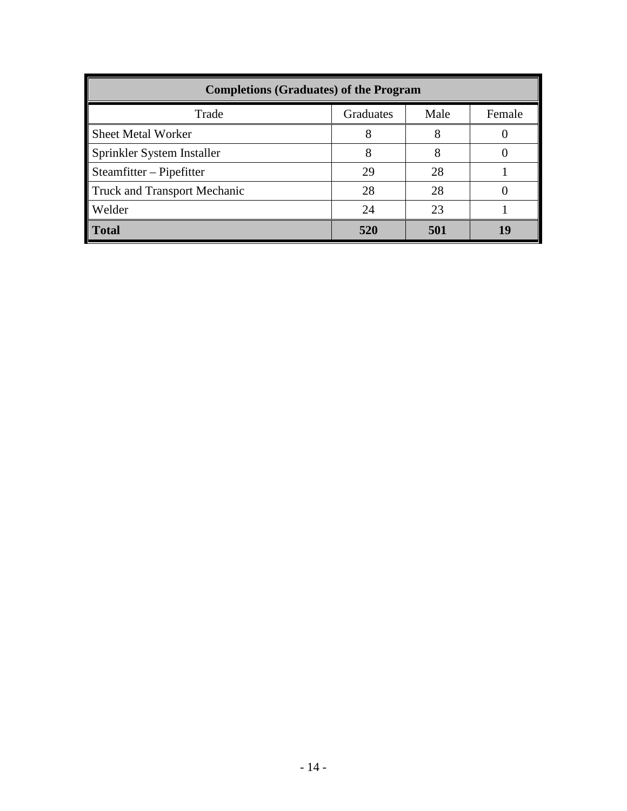| <b>Completions (Graduates) of the Program</b> |           |      |        |  |  |  |  |
|-----------------------------------------------|-----------|------|--------|--|--|--|--|
| Trade                                         | Graduates | Male | Female |  |  |  |  |
| <b>Sheet Metal Worker</b>                     | 8         |      |        |  |  |  |  |
| Sprinkler System Installer                    | 8         | 8    |        |  |  |  |  |
| $Steamfitter - Pipefitter$                    | 29        | 28   |        |  |  |  |  |
| <b>Truck and Transport Mechanic</b>           | 28        | 28   |        |  |  |  |  |
| Welder                                        | 24        | 23   |        |  |  |  |  |
| <b>Total</b>                                  | 520       | 501  |        |  |  |  |  |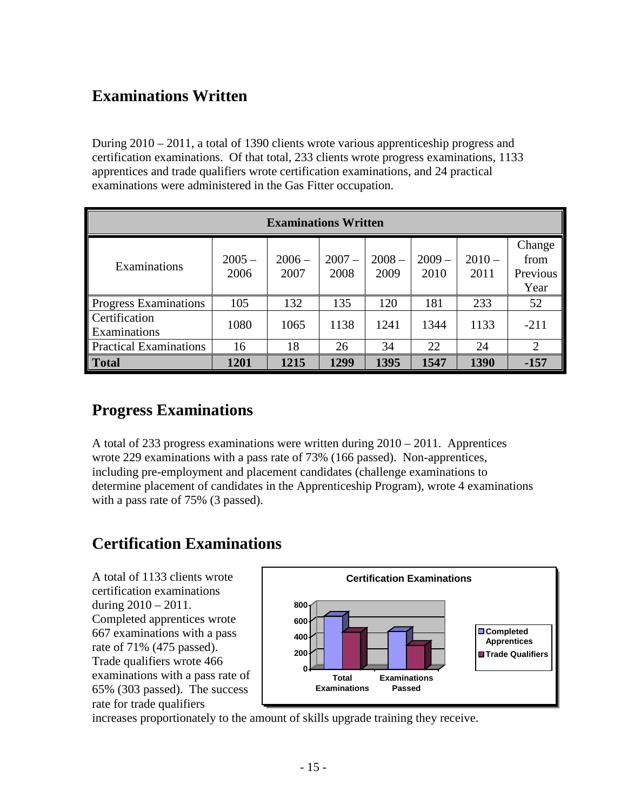#### <span id="page-14-0"></span>**Examinations Written**

During 2010 – 2011, a total of 1390 clients wrote various apprenticeship progress and certification examinations. Of that total, 233 clients wrote progress examinations, 1133 apprentices and trade qualifiers wrote certification examinations, and 24 practical examinations were administered in the Gas Fitter occupation.

| <b>Examinations Written</b>   |                  |                  |                  |                  |                  |                  |                                    |  |
|-------------------------------|------------------|------------------|------------------|------------------|------------------|------------------|------------------------------------|--|
| Examinations                  | $2005 -$<br>2006 | $2006 -$<br>2007 | $2007 -$<br>2008 | $2008 -$<br>2009 | $2009 -$<br>2010 | $2010 -$<br>2011 | Change<br>from<br>Previous<br>Year |  |
| Progress Examinations         | 105              | 132              | 135              | 120              | 181              | 233              | 52                                 |  |
| Certification<br>Examinations | 1080             | 1065             | 1138             | 1241             | 1344             | 1133             | $-211$                             |  |
| <b>Practical Examinations</b> | 16               | 18               | 26               | 34               | 22               | 24               | $\overline{2}$                     |  |
| <b>Total</b>                  | 1201             | 1215             | 1299             | 1395             | 1547             | 1390             | $-157$                             |  |

#### <span id="page-14-1"></span>**Progress Examinations**

A total of 233 progress examinations were written during 2010 – 2011. Apprentices wrote 229 examinations with a pass rate of 73% (166 passed). Non-apprentices, including pre-employment and placement candidates (challenge examinations to determine placement of candidates in the Apprenticeship Program), wrote 4 examinations with a pass rate of 75% (3 passed).

#### <span id="page-14-2"></span>**Certification Examinations**

A total of 1133 clients wrote certification examinations during  $2010 - 2011$ . Completed apprentices wrote 667 examinations with a pass rate of 71% (475 passed). Trade qualifiers wrote 466 examinations with a pass rate of 65% (303 passed). The success rate for trade qualifiers



increases proportionately to the amount of skills upgrade training they receive.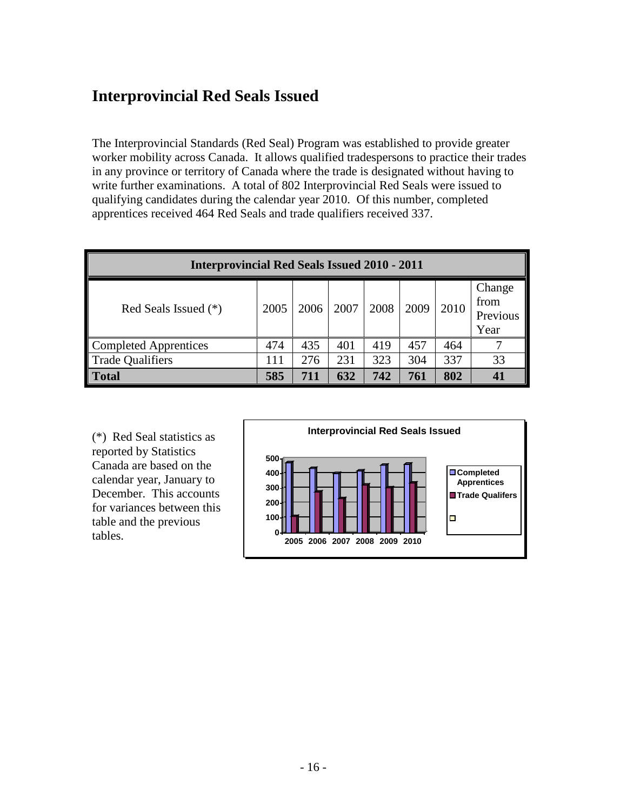### <span id="page-15-0"></span>**Interprovincial Red Seals Issued**

The Interprovincial Standards (Red Seal) Program was established to provide greater worker mobility across Canada. It allows qualified tradespersons to practice their trades in any province or territory of Canada where the trade is designated without having to write further examinations. A total of 802 Interprovincial Red Seals were issued to qualifying candidates during the calendar year 2010. Of this number, completed apprentices received 464 Red Seals and trade qualifiers received 337.

| <b>Interprovincial Red Seals Issued 2010 - 2011</b> |      |      |      |      |      |      |                                    |
|-----------------------------------------------------|------|------|------|------|------|------|------------------------------------|
| Red Seals Issued $(*)$                              | 2005 | 2006 | 2007 | 2008 | 2009 | 2010 | Change<br>from<br>Previous<br>Year |
| Completed Apprentices                               | 474  | 435  | 401  | 419  | 457  | 464  |                                    |
| Trade Qualifiers                                    | 111  | 276  | 231  | 323  | 304  | 337  | 33                                 |
| <b>Total</b>                                        | 585  | 711  | 632  | 742  | 761  | 802  |                                    |

(\*) Red Seal statistics as reported by Statistics Canada are based on the calendar year, January to December. This accounts for variances between this table and the previous tables. **<sup>0</sup>**

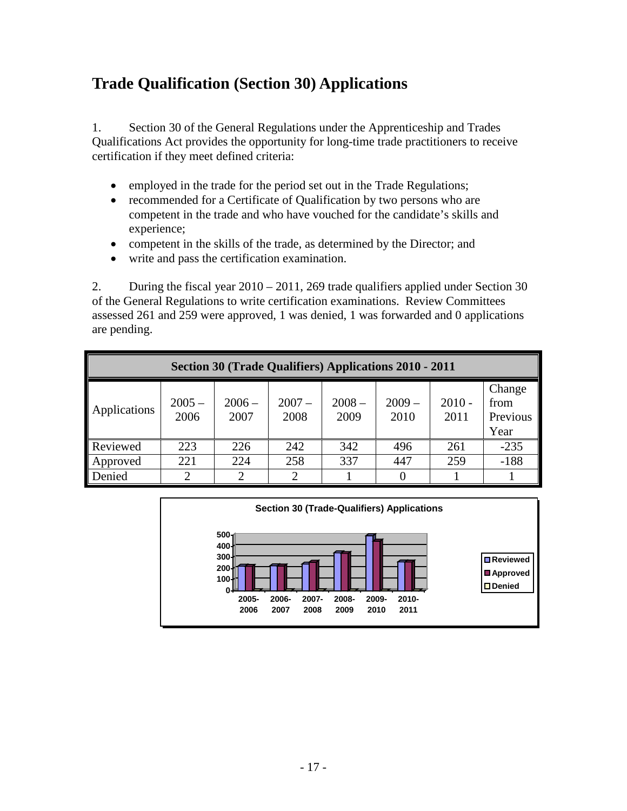### <span id="page-16-0"></span>**Trade Qualification (Section 30) Applications**

1. Section 30 of the General Regulations under the Apprenticeship and Trades Qualifications Act provides the opportunity for long-time trade practitioners to receive certification if they meet defined criteria:

- employed in the trade for the period set out in the Trade Regulations;
- recommended for a Certificate of Qualification by two persons who are competent in the trade and who have vouched for the candidate's skills and experience;
- competent in the skills of the trade, as determined by the Director; and
- write and pass the certification examination.

2. During the fiscal year 2010 – 2011, 269 trade qualifiers applied under Section 30 of the General Regulations to write certification examinations. Review Committees assessed 261 and 259 were approved, 1 was denied, 1 was forwarded and 0 applications are pending.

| <b>Section 30 (Trade Qualifiers) Applications 2010 - 2011</b> |                  |                  |                  |                  |                  |                  |                                    |  |
|---------------------------------------------------------------|------------------|------------------|------------------|------------------|------------------|------------------|------------------------------------|--|
| Applications                                                  | $2005 -$<br>2006 | $2006 -$<br>2007 | $2007 -$<br>2008 | $2008 -$<br>2009 | $2009 -$<br>2010 | $2010 -$<br>2011 | Change<br>from<br>Previous<br>Year |  |
| Reviewed                                                      | 223              | 226              | 242              | 342              | 496              | 261              | $-235$                             |  |
| Approved                                                      | 221              | 224              | 258              | 337              | 447              | 259              | $-188$                             |  |
| Denied                                                        | 2                |                  | $\overline{2}$   |                  |                  |                  |                                    |  |

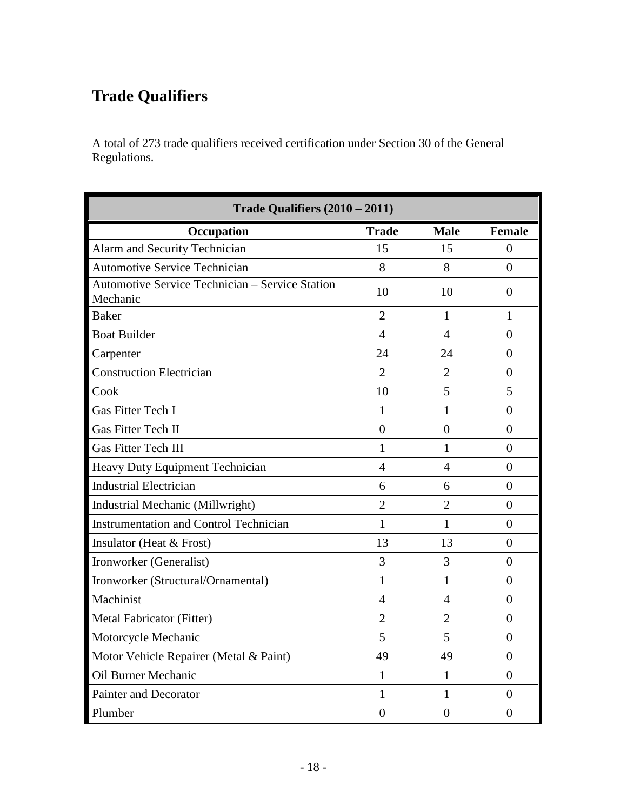# <span id="page-17-0"></span>**Trade Qualifiers**

A total of 273 trade qualifiers received certification under Section 30 of the General Regulations.

| Trade Qualifiers (2010 - 2011)                              |                |                |                |  |  |  |  |
|-------------------------------------------------------------|----------------|----------------|----------------|--|--|--|--|
| Occupation                                                  | <b>Trade</b>   | <b>Male</b>    | <b>Female</b>  |  |  |  |  |
| Alarm and Security Technician                               | 15             | 15             | $\Omega$       |  |  |  |  |
| <b>Automotive Service Technician</b>                        | 8              | 8              | $\overline{0}$ |  |  |  |  |
| Automotive Service Technician - Service Station<br>Mechanic | 10             | 10             | $\Omega$       |  |  |  |  |
| Baker                                                       | $\overline{2}$ | 1              | 1              |  |  |  |  |
| <b>Boat Builder</b>                                         | $\overline{4}$ | $\overline{4}$ | $\Omega$       |  |  |  |  |
| Carpenter                                                   | 24             | 24             | $\overline{0}$ |  |  |  |  |
| <b>Construction Electrician</b>                             | $\overline{2}$ | $\overline{2}$ | $\theta$       |  |  |  |  |
| Cook                                                        | 10             | 5              | 5              |  |  |  |  |
| Gas Fitter Tech I                                           | 1              | $\mathbf{1}$   | $\overline{0}$ |  |  |  |  |
| Gas Fitter Tech II                                          | $\overline{0}$ | $\theta$       | $\theta$       |  |  |  |  |
| <b>Gas Fitter Tech III</b>                                  | 1              | 1              | $\Omega$       |  |  |  |  |
| Heavy Duty Equipment Technician                             | $\overline{4}$ | 4              | $\Omega$       |  |  |  |  |
| <b>Industrial Electrician</b>                               | 6              | 6              | $\overline{0}$ |  |  |  |  |
| Industrial Mechanic (Millwright)                            | $\overline{2}$ | $\overline{2}$ | $\Omega$       |  |  |  |  |
| <b>Instrumentation and Control Technician</b>               | $\mathbf{1}$   | $\mathbf{1}$   | $\overline{0}$ |  |  |  |  |
| Insulator (Heat & Frost)                                    | 13             | 13             | $\Omega$       |  |  |  |  |
| Ironworker (Generalist)                                     | 3              | $\overline{3}$ | $\overline{0}$ |  |  |  |  |
| Ironworker (Structural/Ornamental)                          | $\mathbf{1}$   | $\mathbf{1}$   | $\overline{0}$ |  |  |  |  |
| Machinist                                                   | $\overline{4}$ | $\overline{4}$ | $\Omega$       |  |  |  |  |
| Metal Fabricator (Fitter)                                   | $\overline{2}$ | $\overline{2}$ | $\theta$       |  |  |  |  |
| Motorcycle Mechanic                                         | 5              | 5              | $\overline{0}$ |  |  |  |  |
| Motor Vehicle Repairer (Metal & Paint)                      | 49             | 49             | $\overline{0}$ |  |  |  |  |
| <b>Oil Burner Mechanic</b>                                  | 1              | $\mathbf{1}$   | 0              |  |  |  |  |
| <b>Painter and Decorator</b>                                | 1              | $\mathbf{1}$   | $\overline{0}$ |  |  |  |  |
| Plumber                                                     | $\overline{0}$ | $\theta$       | $\theta$       |  |  |  |  |